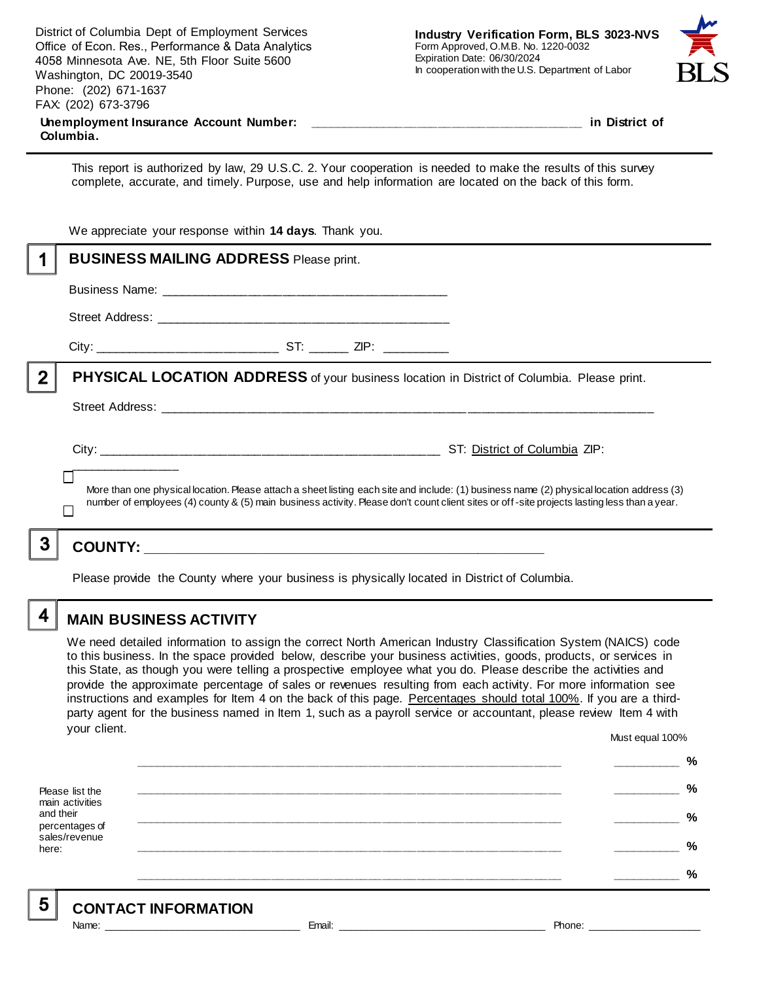|              | District of Columbia Dept of Employment Services<br>Office of Econ. Res., Performance & Data Analytics<br>4058 Minnesota Ave. NE, 5th Floor Suite 5600<br>Washington, DC 20019-3540<br>Phone: (202) 671-1637<br>FAX: (202) 673-3796<br>Columbia.                                         | <b>Industry Verification Form, BLS 3023-NVS</b><br>Form Approved, O.M.B. No. 1220-0032<br>Expiration Date: 06/30/2024<br>In cooperation with the U.S. Department of Labor<br>in District of |  |  |  |
|--------------|------------------------------------------------------------------------------------------------------------------------------------------------------------------------------------------------------------------------------------------------------------------------------------------|---------------------------------------------------------------------------------------------------------------------------------------------------------------------------------------------|--|--|--|
|              | This report is authorized by law, 29 U.S.C. 2. Your cooperation is needed to make the results of this survey<br>complete, accurate, and timely. Purpose, use and help information are located on the back of this form.                                                                  |                                                                                                                                                                                             |  |  |  |
|              | We appreciate your response within 14 days. Thank you.                                                                                                                                                                                                                                   |                                                                                                                                                                                             |  |  |  |
| 1            | <b>BUSINESS MAILING ADDRESS Please print.</b>                                                                                                                                                                                                                                            |                                                                                                                                                                                             |  |  |  |
|              |                                                                                                                                                                                                                                                                                          |                                                                                                                                                                                             |  |  |  |
|              |                                                                                                                                                                                                                                                                                          |                                                                                                                                                                                             |  |  |  |
|              |                                                                                                                                                                                                                                                                                          |                                                                                                                                                                                             |  |  |  |
| $\mathbf{2}$ | <b>PHYSICAL LOCATION ADDRESS</b> of your business location in District of Columbia. Please print.                                                                                                                                                                                        |                                                                                                                                                                                             |  |  |  |
|              |                                                                                                                                                                                                                                                                                          |                                                                                                                                                                                             |  |  |  |
|              | More than one physical location. Please attach a sheet listing each site and include: (1) business name (2) physical location address (3)<br>number of employees (4) county & (5) main business activity. Please don't count client sites or off-site projects lasting less than a year. |                                                                                                                                                                                             |  |  |  |
| 3            | <b>COUNTY:</b>                                                                                                                                                                                                                                                                           |                                                                                                                                                                                             |  |  |  |

Please provide the County where your business is physically located in District of Columbia.

 $\overline{\mathbf{4}}$ 

### **MAIN BUSINESS ACTIVITY**

We need detailed information to assign the correct North American Industry Classification System (NAICS) code to this business. In the space provided below, describe your business activities, goods, products, or services in this State, as though you were telling a prospective employee what you do. Please describe the activities and provide the approximate percentage of sales or revenues resulting from each activity. For more information see instructions and examples for Item 4 on the back of this page. Percentages should total 100%. If you are a thirdparty agent for the business named in Item 1, such as a payroll service or accountant, please review Item 4 with your client. Must equal 100%

|                                                                 | % |
|-----------------------------------------------------------------|---|
| Please list the                                                 | % |
| main activities<br>and their<br>percentages of<br>sales/revenue | % |
| here:                                                           | % |
|                                                                 | % |

 $5<sub>5</sub>$